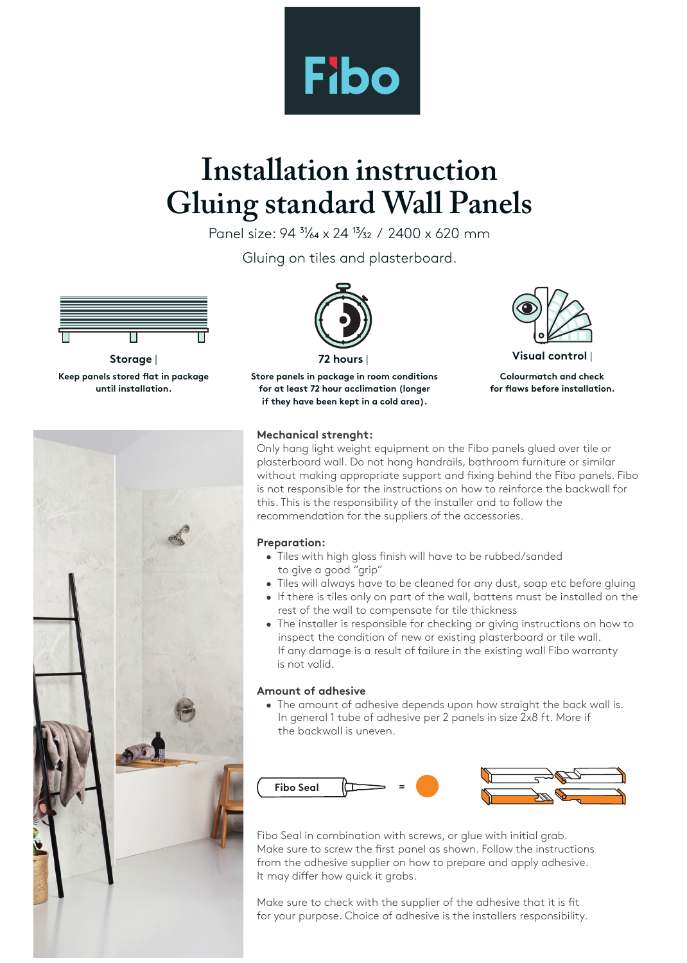

# **Installation instruction Gluing standard Wall Panels**

Panel size: 94  $\frac{31}{64} \times 24$   $\frac{13}{32}$  / 2400 x 620 mm

Gluing on tiles and plasterboard.



**Keep panels stored flat in package until installation.**





**Store panels in package in room conditions for at least 72 hour acclimation (longer if they have been kept in a cold area).**



**Storage** | **72 hours** | **Visual control** |

**Colourmatch and check for flaws before installation.** 

### **Mechanical strenght:**

Only hang light weight equipment on the Fibo panels glued over tile or plasterboard wall. Do not hang handrails, bathroom furniture or similar without making appropriate support and fixing behind the Fibo panels. Fibo is not responsible for the instructions on how to reinforce the backwall for this. This is the responsibility of the installer and to follow the recommendation for the suppliers of the accessories.

#### **Preparation:**

- Tiles with high gloss finish will have to be rubbed/sanded to give a good "grip"
- Tiles will always have to be cleaned for any dust, soap etc before gluing
- If there is tiles only on part of the wall, battens must be installed on the rest of the wall to compensate for tile thickness
- The installer is responsible for checking or giving instructions on how to inspect the condition of new or existing plasterboard or tile wall. If any damage is a result of failure in the existing wall Fibo warranty is not valid.

### **Amount of adhesive**

 • The amount of adhesive depends upon how straight the back wall is. In general 1 tube of adhesive per 2 panels in size 2x8 ft. More if the backwall is uneven.



Fibo Seal in combination with screws, or glue with initial grab. Make sure to screw the first panel as shown. Follow the instructions from the adhesive supplier on how to prepare and apply adhesive. It may differ how quick it grabs.

Make sure to check with the supplier of the adhesive that it is fit for your purpose. Choice of adhesive is the installers responsibility.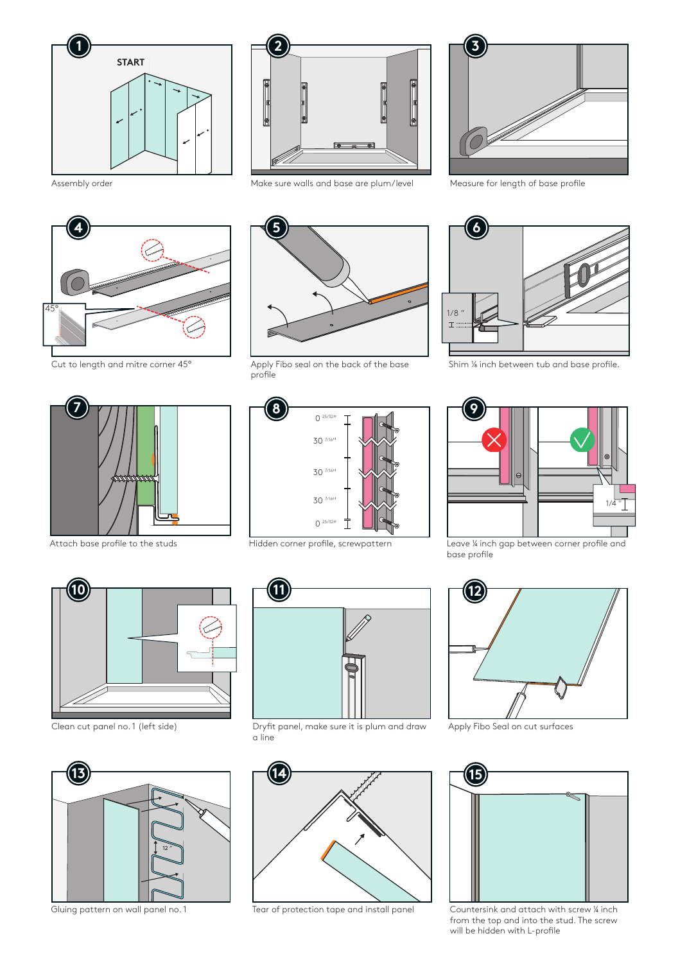



Cut to length and mitre corner 45°



Assembly order **Make sure walls and base are plum/level** Measure for length of base profile



Apply Fibo seal on the back of the base profile





Shim 1/8 inch between tub and base profile.







Attach base profile to the studs Hidden corner profile, screwpattern Leave 1/4 inch gap between corner profile and base profile







Clean cut panel no. 1 (left side) Dryfit panel, make sure it is plum and draw a line



Gluing pattern on wall panel no. 1 Tear of protection tape and install panel Countersink and attach with screw 4 inch



Apply Fibo Seal on cut surfaces



from the top and into the stud. The screw will be hidden with L-profile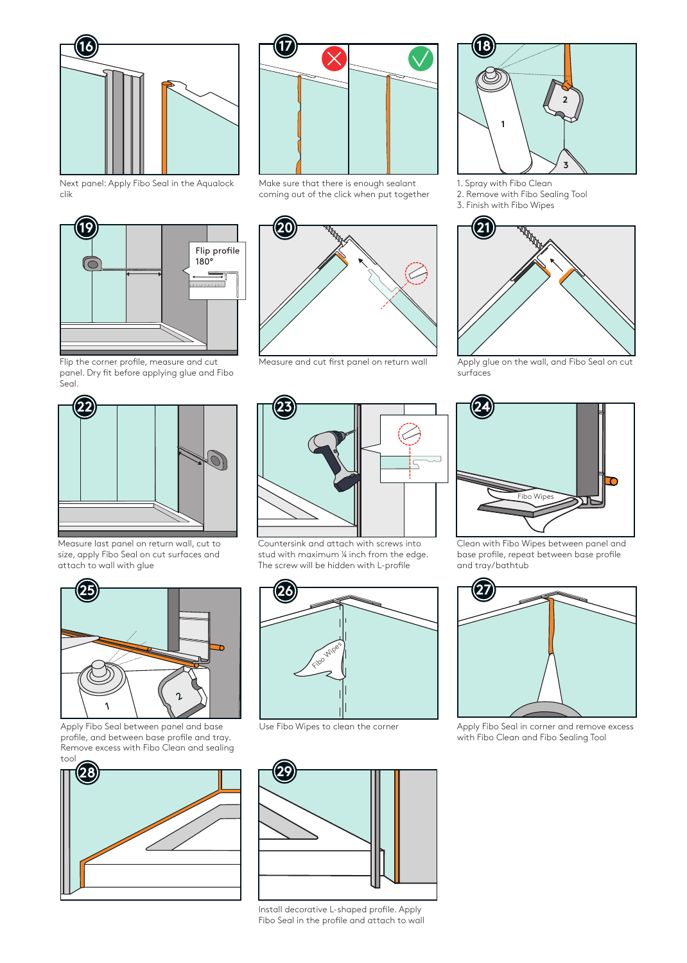

Next panel: Apply Fibo Seal in the Aqualock clik



Flip the corner profile, measure and cut panel. Dry fit before applying glue and Fibo .<br>Seal.



Measure last panel on return wall, cut to size, apply Fibo Seal on cut surfaces and attach to wall with glue



Apply Fibo Seal between panel and base profile, and between base profile and tray. Remove excess with Fibo Clean and sealing tool





Make sure that there is enough sealant coming out of the click when put together



Measure and cut first panel on return wall Apply glue on the wall, and Fibo Seal on cut



- 1. Spray with Fibo Clean
- 2. Remove with Fibo Sealing Tool
- 3. Finish with Fibo Wipes



surfaces



Clean with Fibo Wipes between panel and base profile, repeat between base profile and tray/bathtub



Use Fibo Wipes to clean the corner Apply Fibo Seal in corner and remove excess with Fibo Clean and Fibo Sealing Tool



Countersink and attach with screws into stud with maximum 1/4 inch from the edge. The screw will be hidden with L-profile





Install decorative L-shaped profile. Apply Fibo Seal in the profile and attach to wall